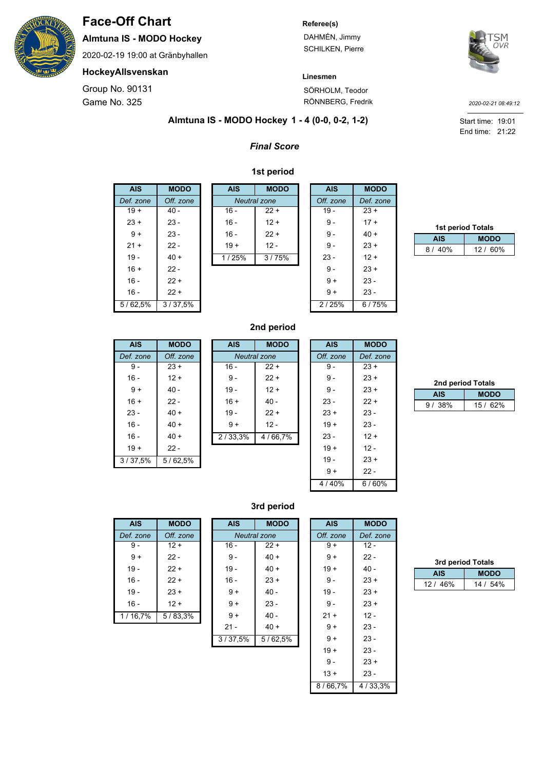

# **Face-Off Chart**

**Almtuna IS - MODO Hockey**

2020-02-19 19:00 at Gränbyhallen

### **HockeyAllsvenskan**

Game No. 325 Group No. 90131

#### **Referee(s)**

**Linesmen**

DAHMÉN, Jimmy SCHILKEN, Pierre



SÖRHOLM, Teodor RÖNNBERG, Fredrik

*2020-02-21 08:49:12*

End time: 21:22 Start time: 19:01

#### **1 - 4 (0-0, 0-2, 1-2) Almtuna IS - MODO Hockey**

## *Final Score*

#### **1st period**

| AIS       | <b>MODO</b> |
|-----------|-------------|
| Def. zone | Off. zone   |
| $19 +$    | $40 -$      |
| $23 +$    | $23 -$      |
| $9+$      | $23 -$      |
| $21 +$    | 22 -        |
| $19 -$    | $40 +$      |
| $16 +$    | 22 -        |
| 16 -      | $22 +$      |
| 16 -      | $22 +$      |
| 5/62.5%   | 3/37.5%     |

| <b>AIS</b>          | <b>MODO</b> |  |
|---------------------|-------------|--|
| <b>Neutral</b> zone |             |  |
| $16 -$              | $22 +$      |  |
| 16 -                | $12 +$      |  |
| 16 -                | $22 +$      |  |
| $19 +$              | $12 -$      |  |
| 1/25%               | 3/75%       |  |
|                     |             |  |
|                     |             |  |
|                     |             |  |

| <b>AIS</b> | <b>MODO</b> |
|------------|-------------|
| Off. zone  | Def. zone   |
| $19 -$     | $23 +$      |
| 9 -        | $17 +$      |
| $9-$       | $40 +$      |
| 9 -        | $23 +$      |
| $23 -$     | $12 +$      |
| $9 -$      | $23 +$      |
| $9+$       | $23 -$      |
| $9+$       | $23 -$      |
| 2/25%      | 6/75%       |
|            |             |

| <b>1st period Totals</b> |             |
|--------------------------|-------------|
| <b>AIS</b>               | <b>MODO</b> |
| 8/40%                    | 12 / 60%    |

| <b>AIS</b> | <b>MODO</b> |  |
|------------|-------------|--|
| Def. zone  | Off. zone   |  |
| 9 -        | $23 +$      |  |
| $16 -$     | $12 +$      |  |
| $9+$       | $40 -$      |  |
| $16 +$     | 22 -        |  |
| $23 -$     | $40 +$      |  |
| $16 -$     | $40 +$      |  |
| $16 -$     | $40 +$      |  |
| $19 +$     | 22 -        |  |
| 3/37,5%    | 5/62.5%     |  |

## **2nd period**

| <b>AIS</b>      | <b>MODO</b>         |  |
|-----------------|---------------------|--|
|                 | <b>Neutral</b> zone |  |
| $16 -$          | $22 +$              |  |
| $9 -$           | $22 +$              |  |
| $19 -$          | $12 +$              |  |
| $16 +$          | $40 -$              |  |
| $19 -$          | $22 +$              |  |
| $9+$            | $12 -$              |  |
| $\sqrt{33,3\%}$ | 4/66,7%             |  |
|                 |                     |  |
|                 |                     |  |
|                 |                     |  |

 $2/$ 

| <b>AIS</b> | MODO      |
|------------|-----------|
| Off. zone  | Def. zone |
| 9 -        | $23 +$    |
| 9 -        | $23 +$    |
| $9 -$      | $23 +$    |
| $23 -$     | 22 +      |
| $23 +$     | $23 -$    |
| $19+$      | $23 -$    |
| $23 -$     | $12 +$    |
| $19 +$     | $12 -$    |
| $19 -$     | 23 +      |
| 9+         | 22 -      |
| 4/40%      | 6/60%     |

| 2nd period Totals |             |  |
|-------------------|-------------|--|
| <b>AIS</b>        | <b>MODO</b> |  |
| 9/38%             | 15 / 62%    |  |

### **3rd period**

| AIS       | <b>MODO</b> |
|-----------|-------------|
| Def. zone | Off. zone   |
| 9 -       | $12 +$      |
| $9+$      | 22 -        |
| $19 -$    | $22 +$      |
| $16 -$    | $22 +$      |
| $19 -$    | $23 +$      |
| $16 -$    | $12 +$      |
| 1/16,7%   | 5/83,3%     |

| <b>AIS</b>   | <b>MODO</b> |
|--------------|-------------|
| Neutral zone |             |
| 16 -         | $22 +$      |
| $9 -$        | 40 +        |
| $19 -$       | 40 +        |
| 16 -         | $23 +$      |
| $9+$         | - 40        |
| $9+$         | 23 -        |
| $9+$         | 40 -        |
| $21 -$       | 40 +        |
| 3/37,5%      | 5/62,5%     |

| <b>AIS</b> | <b>MODO</b> |
|------------|-------------|
| Off. zone  | Def. zone   |
| 9 +        | $12 -$      |
| 9 +        | 22 -        |
| $19+$      | 40 -        |
| $9 -$      | $23 +$      |
| $19 -$     | $23 +$      |
| $9-$       | $23 +$      |
| $21 +$     | $12 -$      |
| $9+$       | $23 -$      |
| $9+$       | 23 -        |
| $19 +$     | $23 -$      |
| 9 -        | $23 +$      |
| $13 +$     | $23 -$      |
| 8/66,7%    | 4/33,3%     |

| 3rd period Totals |             |  |
|-------------------|-------------|--|
| <b>AIS</b>        | <b>MODO</b> |  |
| 12/46%            | 14 / 54%    |  |